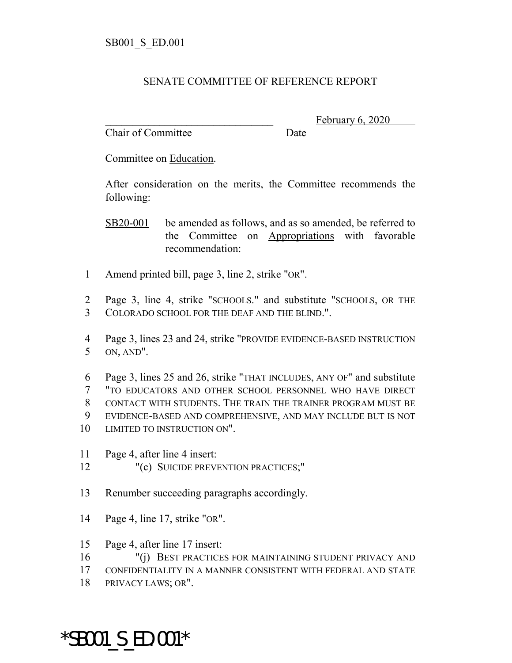## SENATE COMMITTEE OF REFERENCE REPORT

Chair of Committee Date

February 6, 2020

Committee on Education.

After consideration on the merits, the Committee recommends the following:

SB20-001 be amended as follows, and as so amended, be referred to the Committee on Appropriations with favorable recommendation:

- 1 Amend printed bill, page 3, line 2, strike "OR".
- 2 Page 3, line 4, strike "SCHOOLS." and substitute "SCHOOLS, OR THE 3 COLORADO SCHOOL FOR THE DEAF AND THE BLIND.".

4 Page 3, lines 23 and 24, strike "PROVIDE EVIDENCE-BASED INSTRUCTION 5 ON, AND".

 Page 3, lines 25 and 26, strike "THAT INCLUDES, ANY OF" and substitute "TO EDUCATORS AND OTHER SCHOOL PERSONNEL WHO HAVE DIRECT CONTACT WITH STUDENTS. THE TRAIN THE TRAINER PROGRAM MUST BE EVIDENCE-BASED AND COMPREHENSIVE, AND MAY INCLUDE BUT IS NOT 10 LIMITED TO INSTRUCTION ON".

- 11 Page 4, after line 4 insert:
- 12 "(c) SUICIDE PREVENTION PRACTICES;"
- 13 Renumber succeeding paragraphs accordingly.
- 14 Page 4, line 17, strike "OR".
- 15 Page 4, after line 17 insert:
- 16 "(i) BEST PRACTICES FOR MAINTAINING STUDENT PRIVACY AND
- 17 CONFIDENTIALITY IN A MANNER CONSISTENT WITH FEDERAL AND STATE
- 18 PRIVACY LAWS; OR".

\*SB001\_S\_ED.001\*